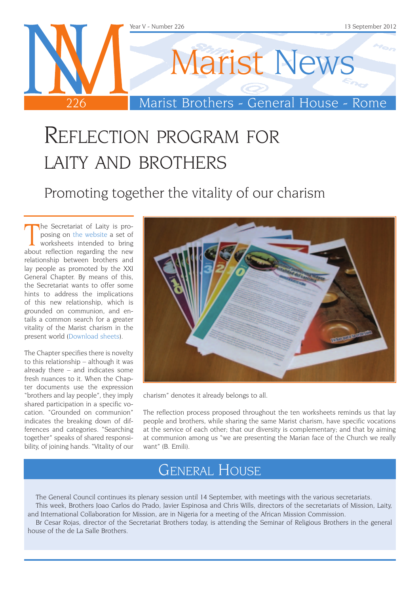

# Reflection program for laity and brothers

Promoting together the vitality of our charism

The Secretariat of Laity is proposing on the website a set of worksheets intended to bring about reflection regarding the new he Secretariat of Laity is proposing on [the website](http://www.champagnat.org/000.php?p=297) a set of worksheets intended to bring relationship between brothers and lay people as promoted by the XXI General Chapter. By means of this, the Secretariat wants to offer some hints to address the implications of this new relationship, which is grounded on communion, and entails a common search for a greater vitality of the Marist charism in the present world [\(Download sheets](http://www.champagnat.org/000.php?p=297)).

The Chapter specifies there is novelty to this relationship – although it was already there – and indicates some fresh nuances to it. When the Chapter documents use the expression "brothers and lay people", they imply shared participation in a specific vocation. "Grounded on communion" indicates the breaking down of differences and categories. "Searching together" speaks of shared responsibility, of joining hands. "Vitality of our



charism" denotes it already belongs to all.

The reflection process proposed throughout the ten worksheets reminds us that lay people and brothers, while sharing the same Marist charism, have specific vocations at the service of each other; that our diversity is complementary; and that by aiming at communion among us "we are presenting the Marian face of the Church we really want" (B. Emili).

### General House

The General Council continues its plenary session until 14 September, with meetings with the various secretariats. This week, Brothers Joao Carlos do Prado, Javier Espinosa and Chris Wills, directors of the secretariats of Mission, Laity, and International Collaboration for Mission, are in Nigeria for a meeting of the African Mission Commission.

Br Cesar Rojas, director of the Secretariat Brothers today, is attending the Seminar of Religious Brothers in the general house of the de La Salle Brothers.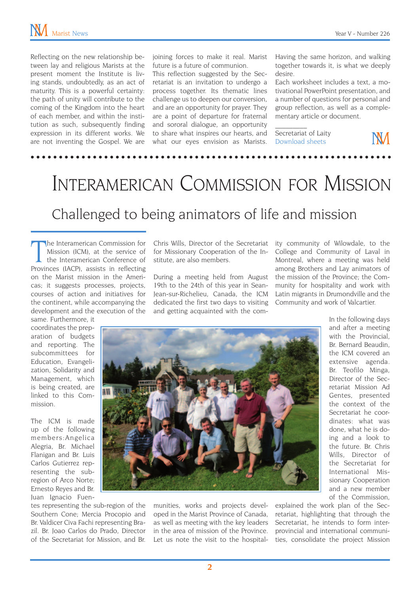Reflecting on the new relationship between lay and religious Marists at the present moment the Institute is living stands, undoubtedly, as an act of maturity. This is a powerful certainty: the path of unity will contribute to the coming of the Kingdom into the heart of each member, and within the institution as such, subsequently finding expression in its different works. We are not inventing the Gospel. We are

joining forces to make it real. Marist future is a future of communion.

This reflection suggested by the Secretariat is an invitation to undergo a process together. Its thematic lines challenge us to deepen our conversion, and are an opportunity for prayer. They are a point of departure for fraternal and sororal dialogue, an opportunity to share what inspires our hearts, and what our eyes envision as Marists.

Having the same horizon, and walking together towards it, is what we deeply desire.

Each worksheet includes a text, a motivational PowerPoint presentation, and a number of questions for personal and group reflection, as well as a complementary article or document.

Secretariat of Laity [Download sheets](http://www.champagnat.org/000.php?p=297)

 $\mathcal{L}_\text{max}$ 

NМ

## Interamerican Commission for Mission

#### Challenged to being animators of life and mission

The Interamerican Commission for<br>
Mission (ICM), at the service of<br>
the Interamerican Conference of<br>
Provinces (IACP), assists in reflecting he Interamerican Commission for Mission (ICM), at the service of the Interamerican Conference of on the Marist mission in the Americas; it suggests processes, projects, courses of action and initiatives for the continent, while accompanying the development and the execution of the

same. Furthermore, it coordinates the preparation of budgets and reporting. The subcommittees for Education, Evangelization, Solidarity and Management, which is being created, are linked to this Commission.

The ICM is made up of the following members:Angelica Alegria, Br. Michael Flanigan and Br. Luis Carlos Gutierrez representing the subregion of Arco Norte; Ernesto Reyes and Br. Juan Ignacio Fuen-

tes representing the sub-region of the Southern Cone; Mercia Procopio and Br. Valdicer Civa Fachi representing Brazil. Br. Joao Carlos do Prado, Director of the Secretariat for Mission, and Br. Chris Wills, Director of the Secretariat for Missionary Cooperation of the Institute, are also members.

During a meeting held from August 19th to the 24th of this year in Sean-Jean-sur-Richelieu, Canada, the ICM dedicated the first two days to visiting and getting acquainted with the comity community of Wilowdale, to the College and Community of Laval in Montreal, where a meeting was held among Brothers and Lay animators of the mission of the Province; the Community for hospitality and work with Latin migrants in Drumondville and the Community and work of Valcartier.



munities, works and projects developed in the Marist Province of Canada, as well as meeting with the key leaders in the area of mission of the Province. Let us note the visit to the hospitalIn the following days and after a meeting with the Provincial. Br. Bernard Beaudin, the ICM covered an extensive agenda. Br. Teofilo Minga, Director of the Secretariat Mission Ad Gentes, presented the context of the Secretariat he coordinates: what was done, what he is doing and a look to the future. Br. Chris Wills, Director of the Secretariat for International Missionary Cooperation and a new member of the Commission,

explained the work plan of the Secretariat, highlighting that through the Secretariat, he intends to form interprovincial and international communities, consolidate the project Mission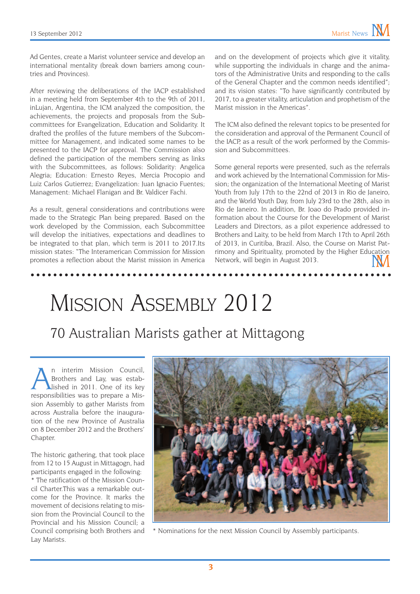Ad Gentes, create a Marist volunteer service and develop an international mentality (break down barriers among countries and Provinces).

After reviewing the deliberations of the IACP established in a meeting held from September 4th to the 9th of 2011, inLujan, Argentina, the ICM analyzed the composition, the achievements, the projects and proposals from the Subcommittees for Evangelization, Education and Solidarity. It drafted the profiles of the future members of the Subcommittee for Management, and indicated some names to be presented to the IACP for approval. The Commission also defined the participation of the members serving as links with the Subcommittees, as follows: Solidarity: Angelica Alegria; Education: Ernesto Reyes, Mercia Procopio and Luiz Carlos Gutierrez; Evangelization: Juan Ignacio Fuentes; Management: Michael Flanigan and Br. Valdicer Fachi.

As a result, general considerations and contributions were made to the Strategic Plan being prepared. Based on the work developed by the Commission, each Subcommittee will develop the initiatives, expectations and deadlines to be integrated to that plan, which term is 2011 to 2017.Its mission states: "The Interamerican Commission for Mission promotes a reflection about the Marist mission in America and on the development of projects which give it vitality, while supporting the individuals in charge and the animators of the Administrative Units and responding to the calls of the General Chapter and the common needs identified"; and its vision states: "To have significantly contributed by 2017, to a greater vitality, articulation and prophetism of the Marist mission in the Americas".

The ICM also defined the relevant topics to be presented for the consideration and approval of the Permanent Council of the IACP, as a result of the work performed by the Commission and Subcommittees.

Some general reports were presented, such as the referrals and work achieved by the International Commission for Mission; the organization of the International Meeting of Marist Youth from July 17th to the 22nd of 2013 in Rio de Janeiro, and the World Youth Day, from July 23rd to the 28th, also in Rio de Janeiro. In addition, Br. Joao do Prado provided information about the Course for the Development of Marist Leaders and Directors, as a pilot experience addressed to Brothers and Laity, to be held from March 17th to April 26th of 2013, in Curitiba, Brazil. Also, the Course on Marist Patrimony and Spirituality, promoted by the Higher Education Network, will begin in August 2013.

Mission Assembly 2012

#### 70 Australian Marists gather at Mittagong

An interim Mission Council,<br>Brothers and Lay, was established in 2011. One of its key Brothers and Lay, was estabresponsibilities was to prepare a Mission Assembly to gather Marists from across Australia before the inauguration of the new Province of Australia on 8 December 2012 and the Brothers' Chapter.

The historic gathering, that took place from 12 to 15 August in Mittagogn, had participants engaged in the following: \* The ratification of the Mission Council Charter.This was a remarkable outcome for the Province. It marks the movement of decisions relating to mission from the Provincial Council to the Provincial and his Mission Council; a Council comprising both Brothers and Lay Marists.



\* Nominations for the next Mission Council by Assembly participants.